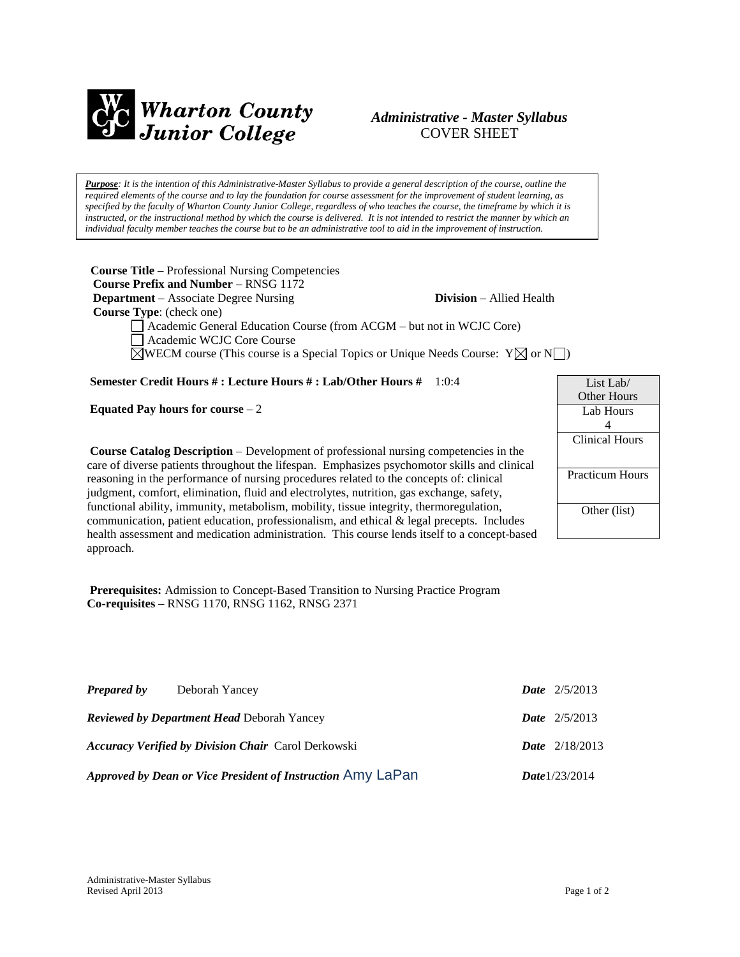

# *Administrative - Master Syllabus*  COVER SHEET

*Purpose: It is the intention of this Administrative-Master Syllabus to provide a general description of the course, outline the required elements of the course and to lay the foundation for course assessment for the improvement of student learning, as specified by the faculty of Wharton County Junior College, regardless of who teaches the course, the timeframe by which it is instructed, or the instructional method by which the course is delivered. It is not intended to restrict the manner by which an individual faculty member teaches the course but to be an administrative tool to aid in the improvement of instruction.*

**Course Title** – Professional Nursing Competencies  **Course Prefix and Number** – RNSG 1172 **Department** – Associate Degree Nursing **Division** – Allied Health  **Course Type**: (check one) Academic General Education Course (from ACGM – but not in WCJC Core) Academic WCJC Core Course  $\boxtimes$ WECM course (This course is a Special Topics or Unique Needs Course:  $Y \boxtimes$  or N

**Semester Credit Hours # : Lecture Hours # : Lab/Other Hours #** 1:0:4

**Equated Pay hours for course** – 2

**Course Catalog Description** – Development of professional nursing competencies in the care of diverse patients throughout the lifespan. Emphasizes psychomotor skills and clinical reasoning in the performance of nursing procedures related to the concepts of: clinical judgment, comfort, elimination, fluid and electrolytes, nutrition, gas exchange, safety, functional ability, immunity, metabolism, mobility, tissue integrity, thermoregulation, communication, patient education, professionalism, and ethical & legal precepts. Includes health assessment and medication administration. This course lends itself to a concept-based approach.

List Lab/ Other Hours Lab Hours 4 Clinical Hours Practicum Hours Other (list)

**Prerequisites:** Admission to Concept-Based Transition to Nursing Practice Program **Co-requisites** – RNSG 1170, RNSG 1162, RNSG 2371

| <b>Prepared by</b>                                | Deborah Yancey                                              |  | <b>Date</b> $2/5/2013$  |
|---------------------------------------------------|-------------------------------------------------------------|--|-------------------------|
| <b>Reviewed by Department Head Deborah Yancey</b> |                                                             |  | <b>Date</b> $2/5/2013$  |
|                                                   | <b>Accuracy Verified by Division Chair Carol Derkowski</b>  |  | <b>Date</b> $2/18/2013$ |
|                                                   | Approved by Dean or Vice President of Instruction Amy LaPan |  | Date $1/23/2014$        |